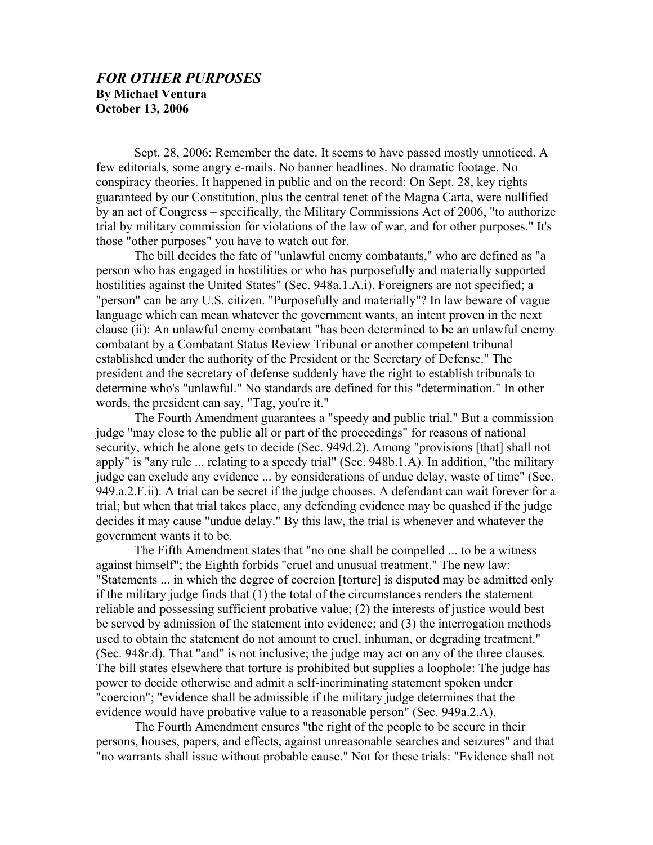## *FOR OTHER PURPOSES*  **By Michael Ventura October 13, 2006**

Sept. 28, 2006: Remember the date. It seems to have passed mostly unnoticed. A few editorials, some angry e-mails. No banner headlines. No dramatic footage. No conspiracy theories. It happened in public and on the record: On Sept. 28, key rights guaranteed by our Constitution, plus the central tenet of the Magna Carta, were nullified by an act of Congress – specifically, the Military Commissions Act of 2006, "to authorize trial by military commission for violations of the law of war, and for other purposes." It's those "other purposes" you have to watch out for.

The bill decides the fate of "unlawful enemy combatants," who are defined as "a person who has engaged in hostilities or who has purposefully and materially supported hostilities against the United States" (Sec. 948a.1.A.i). Foreigners are not specified; a "person" can be any U.S. citizen. "Purposefully and materially"? In law beware of vague language which can mean whatever the government wants, an intent proven in the next clause (ii): An unlawful enemy combatant "has been determined to be an unlawful enemy combatant by a Combatant Status Review Tribunal or another competent tribunal established under the authority of the President or the Secretary of Defense." The president and the secretary of defense suddenly have the right to establish tribunals to determine who's "unlawful." No standards are defined for this "determination." In other words, the president can say, "Tag, you're it."

The Fourth Amendment guarantees a "speedy and public trial." But a commission judge "may close to the public all or part of the proceedings" for reasons of national security, which he alone gets to decide (Sec. 949d.2). Among "provisions [that] shall not apply" is "any rule ... relating to a speedy trial" (Sec. 948b.1.A). In addition, "the military judge can exclude any evidence ... by considerations of undue delay, waste of time" (Sec. 949.a.2.F.ii). A trial can be secret if the judge chooses. A defendant can wait forever for a trial; but when that trial takes place, any defending evidence may be quashed if the judge decides it may cause "undue delay." By this law, the trial is whenever and whatever the government wants it to be.

The Fifth Amendment states that "no one shall be compelled ... to be a witness against himself"; the Eighth forbids "cruel and unusual treatment." The new law: "Statements ... in which the degree of coercion [torture] is disputed may be admitted only if the military judge finds that (1) the total of the circumstances renders the statement reliable and possessing sufficient probative value; (2) the interests of justice would best be served by admission of the statement into evidence; and (3) the interrogation methods used to obtain the statement do not amount to cruel, inhuman, or degrading treatment." (Sec. 948r.d). That "and" is not inclusive; the judge may act on any of the three clauses. The bill states elsewhere that torture is prohibited but supplies a loophole: The judge has power to decide otherwise and admit a self-incriminating statement spoken under "coercion"; "evidence shall be admissible if the military judge determines that the evidence would have probative value to a reasonable person" (Sec. 949a.2.A).

The Fourth Amendment ensures "the right of the people to be secure in their persons, houses, papers, and effects, against unreasonable searches and seizures" and that "no warrants shall issue without probable cause." Not for these trials: "Evidence shall not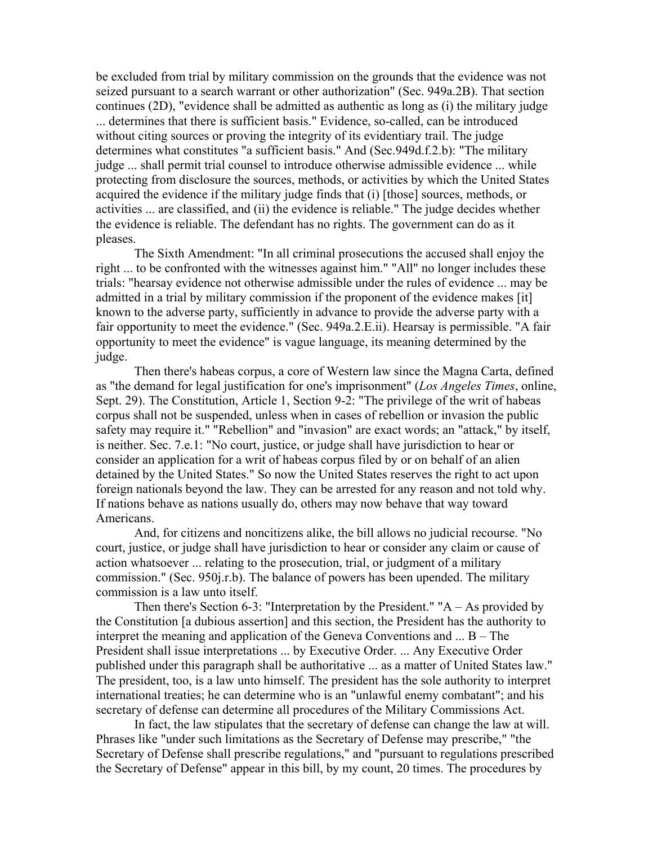be excluded from trial by military commission on the grounds that the evidence was not seized pursuant to a search warrant or other authorization" (Sec. 949a.2B). That section continues (2D), "evidence shall be admitted as authentic as long as (i) the military judge ... determines that there is sufficient basis." Evidence, so-called, can be introduced without citing sources or proving the integrity of its evidentiary trail. The judge determines what constitutes "a sufficient basis." And (Sec.949d.f.2.b): "The military judge ... shall permit trial counsel to introduce otherwise admissible evidence ... while protecting from disclosure the sources, methods, or activities by which the United States acquired the evidence if the military judge finds that (i) [those] sources, methods, or activities ... are classified, and (ii) the evidence is reliable." The judge decides whether the evidence is reliable. The defendant has no rights. The government can do as it pleases.

The Sixth Amendment: "In all criminal prosecutions the accused shall enjoy the right ... to be confronted with the witnesses against him." "All" no longer includes these trials: "hearsay evidence not otherwise admissible under the rules of evidence ... may be admitted in a trial by military commission if the proponent of the evidence makes [it] known to the adverse party, sufficiently in advance to provide the adverse party with a fair opportunity to meet the evidence." (Sec. 949a.2.E.ii). Hearsay is permissible. "A fair opportunity to meet the evidence" is vague language, its meaning determined by the judge.

Then there's habeas corpus, a core of Western law since the Magna Carta, defined as "the demand for legal justification for one's imprisonment" (*Los Angeles Times*, online, Sept. 29). The Constitution, Article 1, Section 9-2: "The privilege of the writ of habeas corpus shall not be suspended, unless when in cases of rebellion or invasion the public safety may require it." "Rebellion" and "invasion" are exact words; an "attack," by itself, is neither. Sec. 7.e.1: "No court, justice, or judge shall have jurisdiction to hear or consider an application for a writ of habeas corpus filed by or on behalf of an alien detained by the United States." So now the United States reserves the right to act upon foreign nationals beyond the law. They can be arrested for any reason and not told why. If nations behave as nations usually do, others may now behave that way toward Americans.

And, for citizens and noncitizens alike, the bill allows no judicial recourse. "No court, justice, or judge shall have jurisdiction to hear or consider any claim or cause of action whatsoever ... relating to the prosecution, trial, or judgment of a military commission." (Sec. 950j.r.b). The balance of powers has been upended. The military commission is a law unto itself.

Then there's Section 6-3: "Interpretation by the President." " $A - As$  provided by the Constitution [a dubious assertion] and this section, the President has the authority to interpret the meaning and application of the Geneva Conventions and ... B – The President shall issue interpretations ... by Executive Order. ... Any Executive Order published under this paragraph shall be authoritative ... as a matter of United States law." The president, too, is a law unto himself. The president has the sole authority to interpret international treaties; he can determine who is an "unlawful enemy combatant"; and his secretary of defense can determine all procedures of the Military Commissions Act.

In fact, the law stipulates that the secretary of defense can change the law at will. Phrases like "under such limitations as the Secretary of Defense may prescribe," "the Secretary of Defense shall prescribe regulations," and "pursuant to regulations prescribed the Secretary of Defense" appear in this bill, by my count, 20 times. The procedures by